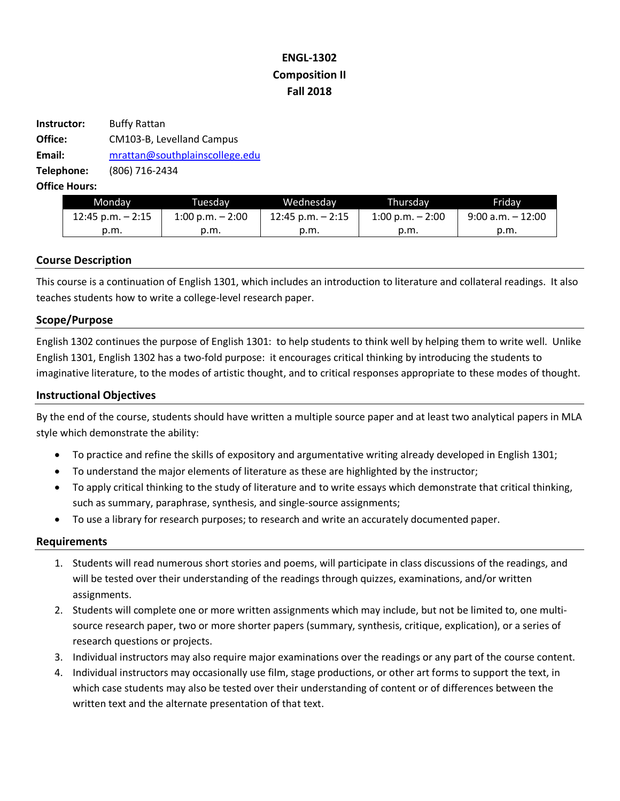# **ENGL-1302 Composition II Fall 2018**

| Instructor: | <b>Buffy Rattan</b>            |  |
|-------------|--------------------------------|--|
| Office:     | CM103-B, Levelland Campus      |  |
| Email:      | mrattan@southplainscollege.edu |  |
| Telephone:  | (806) 716-2434                 |  |

**Office Hours:** 

| Mondav               | Tuesdav                    | Wednesdav            | Thursdav                   | Fridav               |
|----------------------|----------------------------|----------------------|----------------------------|----------------------|
| $12:45$ p.m. $-2:15$ | $1:00 \text{ p.m.} - 2:00$ | $12:45$ p.m. $-2:15$ | $1:00 \text{ p.m.} - 2:00$ | $9:00$ a.m. $-12:00$ |
| p.m.                 | p.m.                       | p.m.                 | p.m.                       | p.m.                 |

## **Course Description**

This course is a continuation of English 1301, which includes an introduction to literature and collateral readings. It also teaches students how to write a college-level research paper.

## **Scope/Purpose**

English 1302 continues the purpose of English 1301: to help students to think well by helping them to write well. Unlike English 1301, English 1302 has a two-fold purpose: it encourages critical thinking by introducing the students to imaginative literature, to the modes of artistic thought, and to critical responses appropriate to these modes of thought.

## **Instructional Objectives**

By the end of the course, students should have written a multiple source paper and at least two analytical papers in MLA style which demonstrate the ability:

- To practice and refine the skills of expository and argumentative writing already developed in English 1301;
- To understand the major elements of literature as these are highlighted by the instructor;
- To apply critical thinking to the study of literature and to write essays which demonstrate that critical thinking, such as summary, paraphrase, synthesis, and single-source assignments;
- To use a library for research purposes; to research and write an accurately documented paper.

## **Requirements**

- 1. Students will read numerous short stories and poems, will participate in class discussions of the readings, and will be tested over their understanding of the readings through quizzes, examinations, and/or written assignments.
- 2. Students will complete one or more written assignments which may include, but not be limited to, one multisource research paper, two or more shorter papers (summary, synthesis, critique, explication), or a series of research questions or projects.
- 3. Individual instructors may also require major examinations over the readings or any part of the course content.
- 4. Individual instructors may occasionally use film, stage productions, or other art forms to support the text, in which case students may also be tested over their understanding of content or of differences between the written text and the alternate presentation of that text.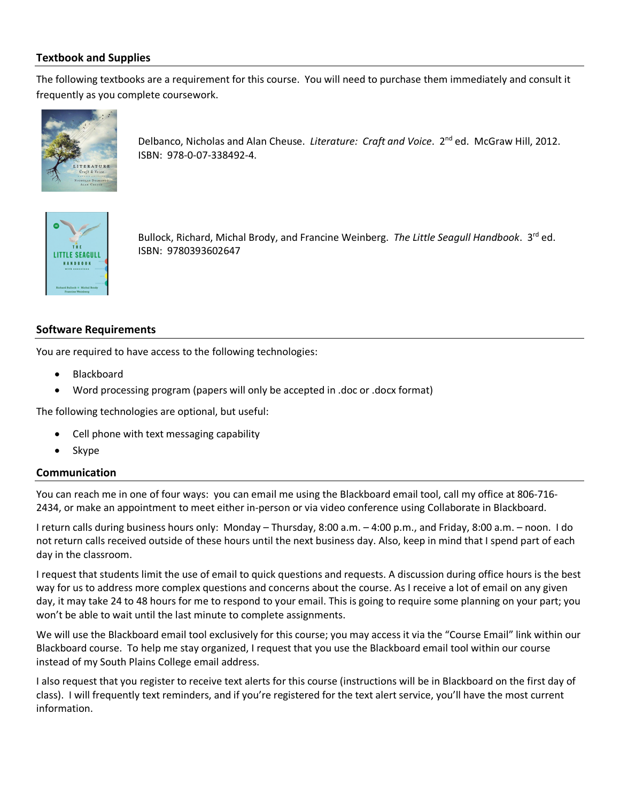# **Textbook and Supplies**

The following textbooks are a requirement for this course. You will need to purchase them immediately and consult it frequently as you complete coursework.



Delbanco, Nicholas and Alan Cheuse. *Literature: Craft and Voice*. 2nd ed. McGraw Hill, 2012. ISBN: 978-0-07-338492-4.



Bullock, Richard, Michal Brody, and Francine Weinberg. *The Little Seagull Handbook*. 3rd ed. ISBN: 9780393602647

## **Software Requirements**

You are required to have access to the following technologies:

- Blackboard
- Word processing program (papers will only be accepted in .doc or .docx format)

The following technologies are optional, but useful:

- Cell phone with text messaging capability
- Skype

## **Communication**

You can reach me in one of four ways: you can email me using the Blackboard email tool, call my office at 806-716- 2434, or make an appointment to meet either in-person or via video conference using Collaborate in Blackboard.

I return calls during business hours only: Monday – Thursday, 8:00 a.m. – 4:00 p.m., and Friday, 8:00 a.m. – noon. I do not return calls received outside of these hours until the next business day. Also, keep in mind that I spend part of each day in the classroom.

I request that students limit the use of email to quick questions and requests. A discussion during office hours is the best way for us to address more complex questions and concerns about the course. As I receive a lot of email on any given day, it may take 24 to 48 hours for me to respond to your email. This is going to require some planning on your part; you won't be able to wait until the last minute to complete assignments.

We will use the Blackboard email tool exclusively for this course; you may access it via the "Course Email" link within our Blackboard course. To help me stay organized, I request that you use the Blackboard email tool within our course instead of my South Plains College email address.

I also request that you register to receive text alerts for this course (instructions will be in Blackboard on the first day of class). I will frequently text reminders, and if you're registered for the text alert service, you'll have the most current information.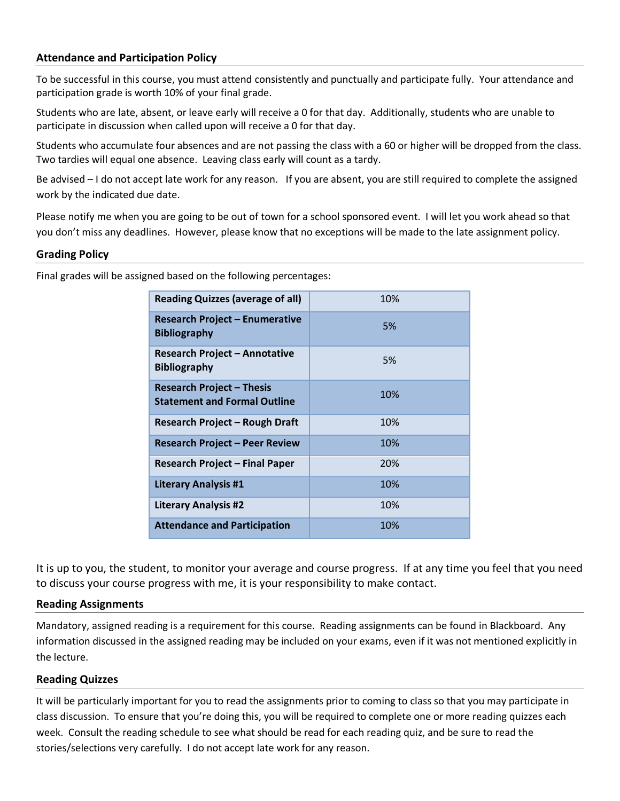## **Attendance and Participation Policy**

To be successful in this course, you must attend consistently and punctually and participate fully. Your attendance and participation grade is worth 10% of your final grade.

Students who are late, absent, or leave early will receive a 0 for that day. Additionally, students who are unable to participate in discussion when called upon will receive a 0 for that day.

Students who accumulate four absences and are not passing the class with a 60 or higher will be dropped from the class. Two tardies will equal one absence. Leaving class early will count as a tardy.

Be advised – I do not accept late work for any reason. If you are absent, you are still required to complete the assigned work by the indicated due date.

Please notify me when you are going to be out of town for a school sponsored event. I will let you work ahead so that you don't miss any deadlines. However, please know that no exceptions will be made to the late assignment policy.

#### **Grading Policy**

Final grades will be assigned based on the following percentages:

| <b>Reading Quizzes (average of all)</b>                                 | 10% |
|-------------------------------------------------------------------------|-----|
| <b>Research Project – Enumerative</b><br><b>Bibliography</b>            | 5%  |
| Research Project – Annotative<br><b>Bibliography</b>                    | 5%  |
| <b>Research Project - Thesis</b><br><b>Statement and Formal Outline</b> | 10% |
| <b>Research Project - Rough Draft</b>                                   | 10% |
| <b>Research Project – Peer Review</b>                                   | 10% |
| <b>Research Project - Final Paper</b>                                   | 20% |
| <b>Literary Analysis #1</b>                                             | 10% |
| <b>Literary Analysis #2</b>                                             | 10% |
| <b>Attendance and Participation</b>                                     | 10% |

It is up to you, the student, to monitor your average and course progress. If at any time you feel that you need to discuss your course progress with me, it is your responsibility to make contact.

## **Reading Assignments**

Mandatory, assigned reading is a requirement for this course. Reading assignments can be found in Blackboard. Any information discussed in the assigned reading may be included on your exams, even if it was not mentioned explicitly in the lecture.

## **Reading Quizzes**

It will be particularly important for you to read the assignments prior to coming to class so that you may participate in class discussion. To ensure that you're doing this, you will be required to complete one or more reading quizzes each week. Consult the reading schedule to see what should be read for each reading quiz, and be sure to read the stories/selections very carefully. I do not accept late work for any reason.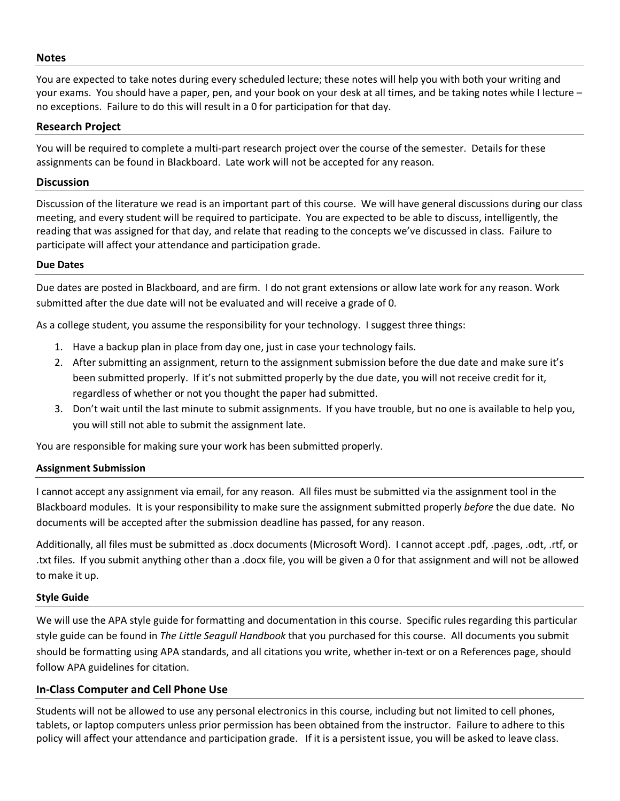#### **Notes**

You are expected to take notes during every scheduled lecture; these notes will help you with both your writing and your exams. You should have a paper, pen, and your book on your desk at all times, and be taking notes while I lecture – no exceptions. Failure to do this will result in a 0 for participation for that day.

## **Research Project**

You will be required to complete a multi-part research project over the course of the semester. Details for these assignments can be found in Blackboard. Late work will not be accepted for any reason.

#### **Discussion**

Discussion of the literature we read is an important part of this course. We will have general discussions during our class meeting, and every student will be required to participate. You are expected to be able to discuss, intelligently, the reading that was assigned for that day, and relate that reading to the concepts we've discussed in class. Failure to participate will affect your attendance and participation grade.

#### **Due Dates**

Due dates are posted in Blackboard, and are firm. I do not grant extensions or allow late work for any reason. Work submitted after the due date will not be evaluated and will receive a grade of 0.

As a college student, you assume the responsibility for your technology. I suggest three things:

- 1. Have a backup plan in place from day one, just in case your technology fails.
- 2. After submitting an assignment, return to the assignment submission before the due date and make sure it's been submitted properly. If it's not submitted properly by the due date, you will not receive credit for it, regardless of whether or not you thought the paper had submitted.
- 3. Don't wait until the last minute to submit assignments. If you have trouble, but no one is available to help you, you will still not able to submit the assignment late.

You are responsible for making sure your work has been submitted properly.

## **Assignment Submission**

I cannot accept any assignment via email, for any reason. All files must be submitted via the assignment tool in the Blackboard modules. It is your responsibility to make sure the assignment submitted properly *before* the due date. No documents will be accepted after the submission deadline has passed, for any reason.

Additionally, all files must be submitted as .docx documents (Microsoft Word). I cannot accept .pdf, .pages, .odt, .rtf, or .txt files. If you submit anything other than a .docx file, you will be given a 0 for that assignment and will not be allowed to make it up.

#### **Style Guide**

We will use the APA style guide for formatting and documentation in this course. Specific rules regarding this particular style guide can be found in *The Little Seagull Handbook* that you purchased for this course. All documents you submit should be formatting using APA standards, and all citations you write, whether in-text or on a References page, should follow APA guidelines for citation.

## **In-Class Computer and Cell Phone Use**

Students will not be allowed to use any personal electronics in this course, including but not limited to cell phones, tablets, or laptop computers unless prior permission has been obtained from the instructor. Failure to adhere to this policy will affect your attendance and participation grade. If it is a persistent issue, you will be asked to leave class.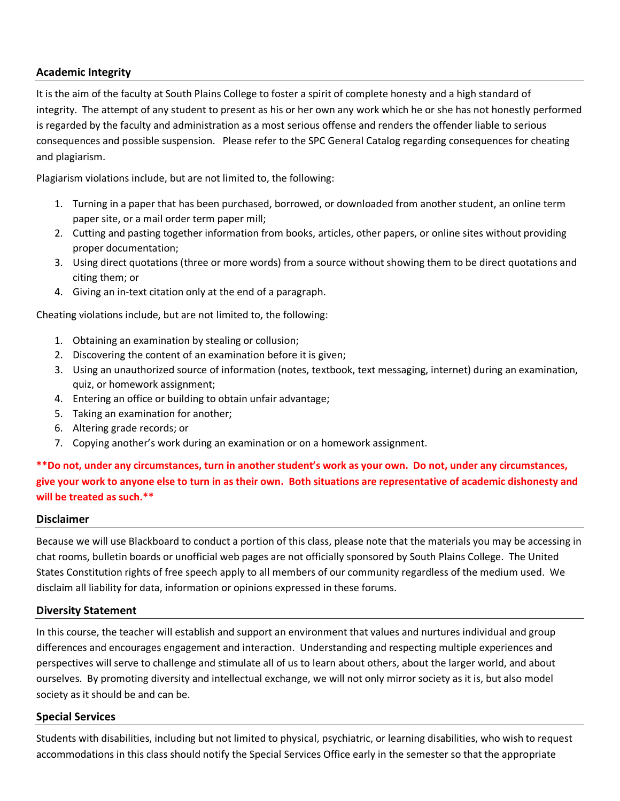# **Academic Integrity**

It is the aim of the faculty at South Plains College to foster a spirit of complete honesty and a high standard of integrity. The attempt of any student to present as his or her own any work which he or she has not honestly performed is regarded by the faculty and administration as a most serious offense and renders the offender liable to serious consequences and possible suspension. Please refer to the SPC General Catalog regarding consequences for cheating and plagiarism.

Plagiarism violations include, but are not limited to, the following:

- 1. Turning in a paper that has been purchased, borrowed, or downloaded from another student, an online term paper site, or a mail order term paper mill;
- 2. Cutting and pasting together information from books, articles, other papers, or online sites without providing proper documentation;
- 3. Using direct quotations (three or more words) from a source without showing them to be direct quotations and citing them; or
- 4. Giving an in-text citation only at the end of a paragraph.

Cheating violations include, but are not limited to, the following:

- 1. Obtaining an examination by stealing or collusion;
- 2. Discovering the content of an examination before it is given;
- 3. Using an unauthorized source of information (notes, textbook, text messaging, internet) during an examination, quiz, or homework assignment;
- 4. Entering an office or building to obtain unfair advantage;
- 5. Taking an examination for another;
- 6. Altering grade records; or
- 7. Copying another's work during an examination or on a homework assignment.

**\*\*Do not, under any circumstances, turn in another student's work as your own. Do not, under any circumstances, give your work to anyone else to turn in as their own. Both situations are representative of academic dishonesty and will be treated as such.\*\***

# **Disclaimer**

Because we will use Blackboard to conduct a portion of this class, please note that the materials you may be accessing in chat rooms, bulletin boards or unofficial web pages are not officially sponsored by South Plains College. The United States Constitution rights of free speech apply to all members of our community regardless of the medium used. We disclaim all liability for data, information or opinions expressed in these forums.

# **Diversity Statement**

In this course, the teacher will establish and support an environment that values and nurtures individual and group differences and encourages engagement and interaction. Understanding and respecting multiple experiences and perspectives will serve to challenge and stimulate all of us to learn about others, about the larger world, and about ourselves. By promoting diversity and intellectual exchange, we will not only mirror society as it is, but also model society as it should be and can be.

# **Special Services**

Students with disabilities, including but not limited to physical, psychiatric, or learning disabilities, who wish to request accommodations in this class should notify the Special Services Office early in the semester so that the appropriate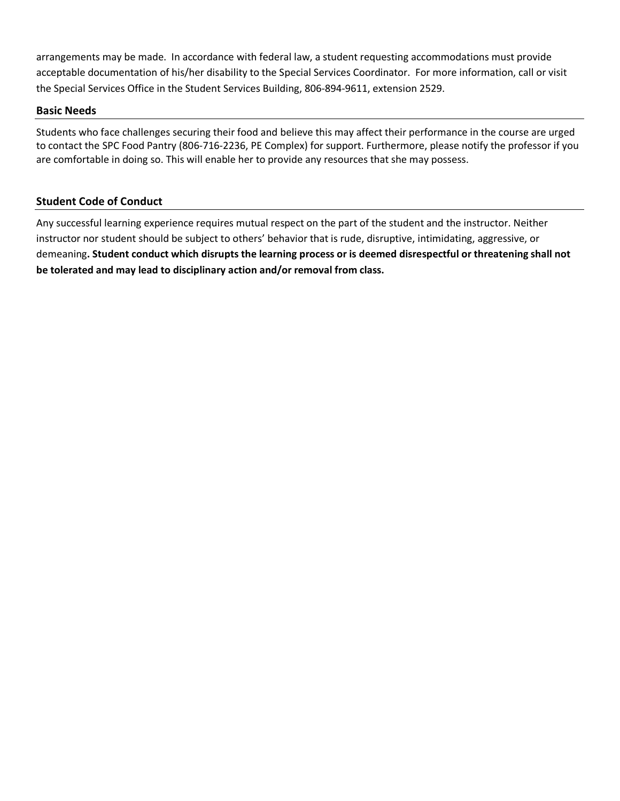arrangements may be made. In accordance with federal law, a student requesting accommodations must provide acceptable documentation of his/her disability to the Special Services Coordinator. For more information, call or visit the Special Services Office in the Student Services Building, 806-894-9611, extension 2529.

# **Basic Needs**

Students who face challenges securing their food and believe this may affect their performance in the course are urged to contact the SPC Food Pantry (806-716-2236, PE Complex) for support. Furthermore, please notify the professor if you are comfortable in doing so. This will enable her to provide any resources that she may possess.

# **Student Code of Conduct**

Any successful learning experience requires mutual respect on the part of the student and the instructor. Neither instructor nor student should be subject to others' behavior that is rude, disruptive, intimidating, aggressive, or demeaning**. Student conduct which disrupts the learning process or is deemed disrespectful or threatening shall not be tolerated and may lead to disciplinary action and/or removal from class.**